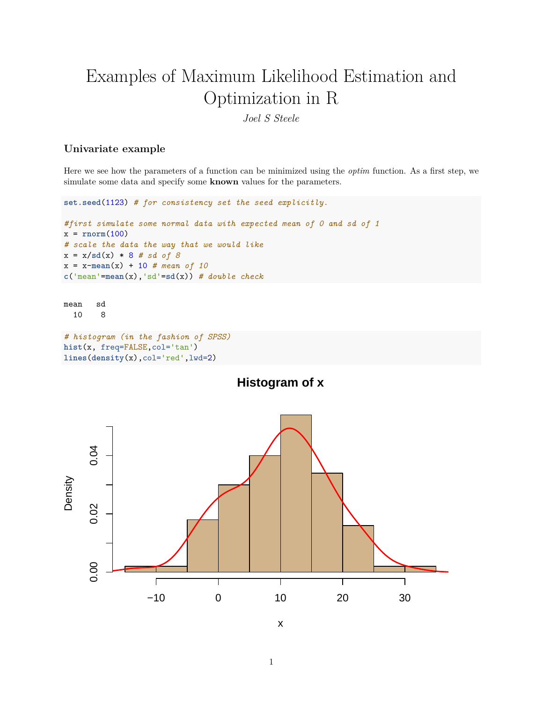# Examples of Maximum Likelihood Estimation and Optimization in R

*Joel S Steele*

## **Univariate example**

Here we see how the parameters of a function can be minimized using the *optim* function. As a first step, we simulate some data and specify some **known** values for the parameters.

```
set.seed(1123) # for consistency set the seed explicitly.
#first simulate some normal data with expected mean of 0 and sd of 1
x = rnorm(100)
# scale the data the way that we would like
x = x/sd(x) * 8 # sd of 8
x = x - mean(x) + 10 # mean of 10
c('mean'=mean(x),'sd'=sd(x)) # double check
```

```
mean sd
 10 8
```

```
# histogram (in the fashion of SPSS)
hist(x, freq=FALSE,col='tan')
lines(density(x),col='red',lwd=2)
```




1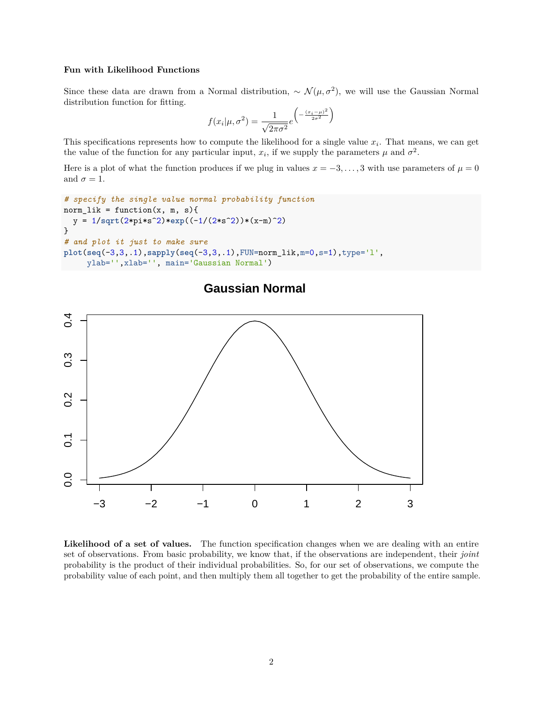#### **Fun with Likelihood Functions**

Since these data are drawn from a Normal distribution,  $\sim \mathcal{N}(\mu, \sigma^2)$ , we will use the Gaussian Normal distribution function for fitting.

$$
f(x_i|\mu, \sigma^2) = \frac{1}{\sqrt{2\pi\sigma^2}} e^{\left(-\frac{(x_i-\mu)^2}{2\sigma^2}\right)}
$$

This specifications represents how to compute the likelihood for a single value  $x_i$ . That means, we can get the value of the function for any particular input,  $x_i$ , if we supply the parameters  $\mu$  and  $\sigma^2$ .

Here is a plot of what the function produces if we plug in values  $x = -3, \ldots, 3$  with use parameters of  $\mu = 0$ and  $\sigma = 1$ .

```
# specify the single value normal probability function
norm\_lik = function(x, m, s){
  y = 1/sqrt(2*pi*s^2)*exp((-1/(2*s^2))*(x-m)^2)
}
# and plot it just to make sure
plot(seq(-3,3,.1),sapply(seq(-3,3,.1),FUN=norm_lik,m=0,s=1),type='l',
     ylab='',xlab='', main='Gaussian Normal')
```


## **Gaussian Normal**

**Likelihood of a set of values.** The function specification changes when we are dealing with an entire set of observations. From basic probability, we know that, if the observations are independent, their *joint* probability is the product of their individual probabilities. So, for our set of observations, we compute the probability value of each point, and then multiply them all together to get the probability of the entire sample.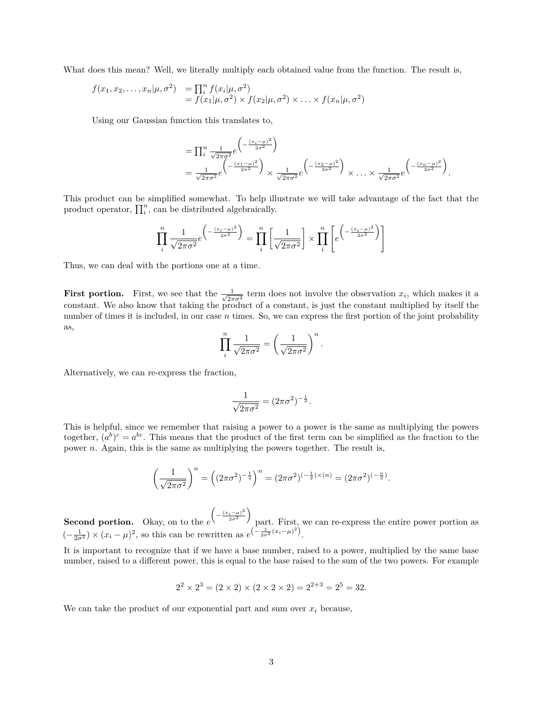What does this mean? Well, we literally multiply each obtained value from the function. The result is,

$$
f(x_1, x_2,..., x_n | \mu, \sigma^2) = \prod_i^n f(x_i | \mu, \sigma^2)
$$
  
=  $f(x_1 | \mu, \sigma^2) \times f(x_2 | \mu, \sigma^2) \times ... \times f(x_n | \mu, \sigma^2)$ 

Using our Gaussian function this translates to,

$$
= \prod_{i}^{n} \frac{1}{\sqrt{2\pi\sigma^2}} e^{\left(-\frac{(x_i - \mu)^2}{2\sigma^2}\right)}
$$
  
= 
$$
\frac{1}{\sqrt{2\pi\sigma^2}} e^{\left(-\frac{(x_1 - \mu)^2}{2\sigma^2}\right)} \times \frac{1}{\sqrt{2\pi\sigma^2}} e^{\left(-\frac{(x_2 - \mu)^2}{2\sigma^2}\right)} \times \dots \times \frac{1}{\sqrt{2\pi\sigma^2}} e^{\left(-\frac{(x_n - \mu)^2}{2\sigma^2}\right)}.
$$

This product can be simplified somewhat. To help illustrate we will take advantage of the fact that the product operator,  $\prod_{i}^{n}$ , can be distributed algebraically.

$$
\prod_{i}^{n} \frac{1}{\sqrt{2\pi\sigma^2}} e^{-\left(\frac{(x_i - \mu)^2}{2\sigma^2}\right)} = \prod_{i}^{n} \left[\frac{1}{\sqrt{2\pi\sigma^2}}\right] \times \prod_{i}^{n} \left[e^{-\frac{(x_i - \mu)^2}{2\sigma^2}}\right]
$$

Thus, we can deal with the portions one at a time.

**First portion.** First, we see that the  $\frac{1}{\sqrt{2}}$  $\frac{1}{2\pi\sigma^2}$  term does not involve the observation  $x_i$ , which makes it a constant. We also know that taking the product of a constant, is just the constant multiplied by itself the number of times it is included, in our case *n* times. So, we can express the first portion of the joint probability as,

$$
\prod_{i}^{n} \frac{1}{\sqrt{2\pi\sigma^2}} = \left(\frac{1}{\sqrt{2\pi\sigma^2}}\right)^n.
$$

Alternatively, we can re-express the fraction,

$$
\frac{1}{\sqrt{2\pi\sigma^2}} = (2\pi\sigma^2)^{-\frac{1}{2}}.
$$

This is helpful, since we remember that raising a power to a power is the same as multiplying the powers together,  $(a^b)^c = a^{bc}$ . This means that the product of the first term can be simplified as the fraction to the power *n*. Again, this is the same as multiplying the powers together. The result is,

$$
\left(\frac{1}{\sqrt{2\pi\sigma^2}}\right)^n = \left((2\pi\sigma^2)^{-\frac{1}{2}}\right)^n = (2\pi\sigma^2)^{(-\frac{1}{2})\times(n)} = (2\pi\sigma^2)^{(-\frac{n}{2})}.
$$

**Second portion.** Okay, on to the *e*  $\left(-\frac{(x_i-\mu)^2}{2\sigma^2}\right)$ part. First, we can re-express the entire power portion as  $\left(-\frac{1}{2\sigma^2}\right) \times (x_i - \mu)^2$ , so this can be rewritten as  $e^{\left(-\frac{1}{2\sigma^2}(x_i - \mu)^2\right)}$ .

It is important to recognize that if we have a base number, raised to a power, multiplied by the same base number, raised to a different power, this is equal to the base raised to the sum of the two powers. For example

$$
22 \times 23 = (2 \times 2) \times (2 \times 2 \times 2) = 22+3 = 25 = 32.
$$

We can take the product of our exponential part and sum over  $x_i$  because,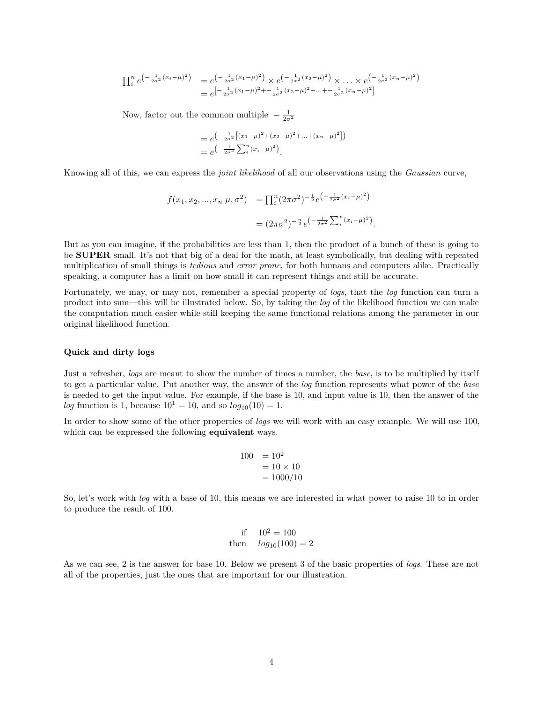$$
\prod_{i}^{n} e^{\left(-\frac{1}{2\sigma^{2}}(x_{i}-\mu)^{2}\right)} = e^{\left(-\frac{1}{2\sigma^{2}}(x_{1}-\mu)^{2}\right)} \times e^{\left(-\frac{1}{2\sigma^{2}}(x_{2}-\mu)^{2}\right)} \times \dots \times e^{\left(-\frac{1}{2\sigma^{2}}(x_{n}-\mu)^{2}\right)}
$$
\n
$$
= e^{\left[-\frac{1}{2\sigma^{2}}(x_{1}-\mu)^{2} + \dots + \frac{1}{2\sigma^{2}}(x_{2}-\mu)^{2} + \dots + \frac{1}{2\sigma^{2}}(x_{n}-\mu)^{2}\right]}
$$

Now, factor out the common multiple  $-\frac{1}{2\sigma^2}$ 

$$
= e^{-\frac{1}{2\sigma^2} \left[ (x_1 - \mu)^2 + (x_2 - \mu)^2 + \dots + (x_n - \mu)^2 \right] \choose 2}
$$
  
=  $e^{-\frac{1}{2\sigma^2} \sum_i (x_i - \mu)^2}$ .

Knowing all of this, we can express the *joint likelihood* of all our observations using the *Gaussian* curve,

$$
f(x_1, x_2, ..., x_n | \mu, \sigma^2) = \prod_i^n (2\pi\sigma^2)^{-\frac{1}{2}} e^{\left(-\frac{1}{2\sigma^2} (x_i - \mu)^2\right)}
$$

$$
= (2\pi\sigma^2)^{-\frac{n}{2}} e^{\left(-\frac{1}{2\sigma^2} \sum_i^n (x_i - \mu)^2\right)}.
$$

But as you can imagine, if the probabilities are less than 1, then the product of a bunch of these is going to be **SUPER** small. It's not that big of a deal for the math, at least symbolically, but dealing with repeated multiplication of small things is *tedious* and *error prone*, for both humans and computers alike. Practically speaking, a computer has a limit on how small it can represent things and still be accurate.

Fortunately, we may, or may not, remember a special property of *logs*, that the *log* function can turn a product into sum—this will be illustrated below. So, by taking the *log* of the likelihood function we can make the computation much easier while still keeping the same functional relations among the parameter in our original likelihood function.

### **Quick and dirty logs**

Just a refresher, *logs* are meant to show the number of times a number, the *base*, is to be multiplied by itself to get a particular value. Put another way, the answer of the *log* function represents what power of the *base* is needed to get the input value. For example, if the base is 10, and input value is 10, then the answer of the *log* function is 1, because  $10^1 = 10$ , and so  $log_{10}(10) = 1$ .

In order to show some of the other properties of *logs* we will work with an easy example. We will use 100, which can be expressed the following **equivalent** ways.

$$
100 = 102= 10 \times 10= 1000/10
$$

So, let's work with *log* with a base of 10, this means we are interested in what power to raise 10 to in order to produce the result of 100.

if 
$$
10^2 = 100
$$
  
then  $log_{10}(100) = 2$ 

As we can see, 2 is the answer for base 10. Below we present 3 of the basic properties of *logs*. These are not all of the properties, just the ones that are important for our illustration.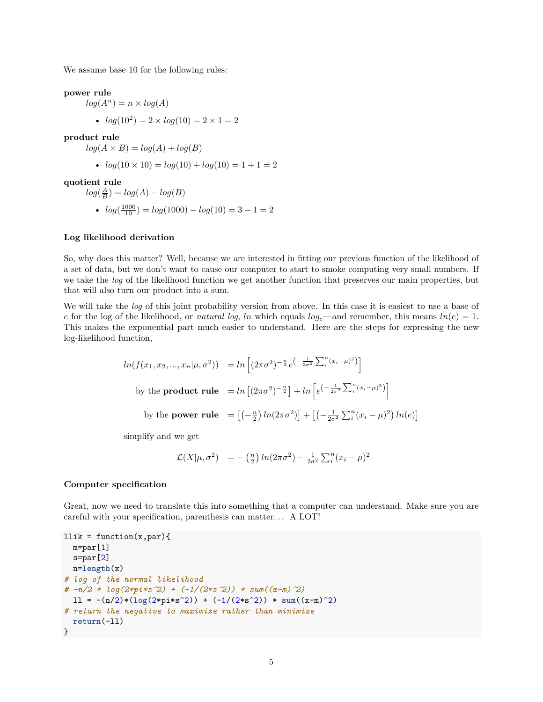We assume base 10 for the following rules:

**power rule**

 $log(A^n) = n \times log(A)$ •  $log(10^2) = 2 \times log(10) = 2 \times 1 = 2$ 

**product rule**

 $log(A \times B) = log(A) + log(B)$ 

• 
$$
log(10 \times 10) = log(10) + log(10) = 1 + 1 = 2
$$

**quotient rule**

$$
log(\frac{A}{B}) = log(A) - log(B)
$$
  
•  $log(\frac{1000}{10}) = log(1000) - log(10) = 3 - 1 = 2$ 

#### **Log likelihood derivation**

So, why does this matter? Well, because we are interested in fitting our previous function of the likelihood of a set of data, but we don't want to cause our computer to start to smoke computing very small numbers. If we take the *log* of the likelihood function we get another function that preserves our main properties, but that will also turn our product into a sum.

We will take the *log* of this joint probability version from above. In this case it is easiest to use a base of *e* for the log of the likelihood, or *natural log*, *ln* which equals  $log_e$ —and remember, this means  $ln(e) = 1$ . This makes the exponential part much easier to understand. Here are the steps for expressing the new log-likelihood function,

$$
ln(f(x_1, x_2, ..., x_n | \mu, \sigma^2)) = ln \left[ (2\pi\sigma^2)^{-\frac{n}{2}} e^{\left(-\frac{1}{2\sigma^2} \sum_i^n (x_i - \mu)^2\right)} \right]
$$
  
by the **product rule** =  $ln \left[ (2\pi\sigma^2)^{-\frac{n}{2}} \right] + ln \left[ e^{\left(-\frac{1}{2\sigma^2} \sum_i^n (x_i - \mu)^2\right)} \right]$   
by the **power rule** =  $\left[ \left(-\frac{n}{2}\right) ln(2\pi\sigma^2) \right] + \left[ \left(-\frac{1}{2\sigma^2} \sum_i^n (x_i - \mu)^2\right) ln(e) \right]$ 

simplify and we get

$$
\mathcal{L}(X|\mu, \sigma^2) = -(\frac{n}{2}) \ln(2\pi\sigma^2) - \frac{1}{2\sigma^2} \sum_{i}^{n} (x_i - \mu)^2
$$

## **Computer specification**

Great, now we need to translate this into something that a computer can understand. Make sure you are careful with your specification, parenthesis can matter. . . A LOT!

```
llik = function(x, par){
  m=par[1]s=par[2]
 n=length(x)
# log of the normal likelihood
# -n/2 * log(2*pi*s^2) + (-1/(2*s^2)) * sum((x-m)^2)
 11 = -(n/2)*(log(2*pi*s^2)) + (-1/(2*s^2)) * sum((x-m)^2)# return the negative to maximize rather than minimize
  return(-ll)
}
```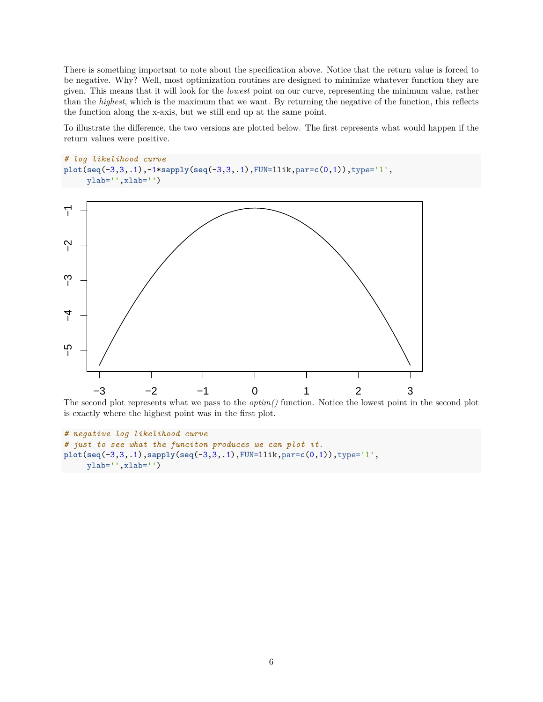There is something important to note about the specification above. Notice that the return value is forced to be negative. Why? Well, most optimization routines are designed to minimize whatever function they are given. This means that it will look for the *lowest* point on our curve, representing the minimum value, rather than the *highest*, which is the maximum that we want. By returning the negative of the function, this reflects the function along the x-axis, but we still end up at the same point.

To illustrate the difference, the two versions are plotted below. The first represents what would happen if the return values were positive.

```
# log likelihood curve
plot(seq(-3,3,.1),-1*sapply(seq(-3,3,.1),FUN=llik,par=c(0,1)),type='l',
     ylab='',xlab='')
```


The second plot represents what we pass to the *optim()* function. Notice the lowest point in the second plot is exactly where the highest point was in the first plot.

```
# negative log likelihood curve
# just to see what the funciton produces we can plot it.
plot(seq(-3,3,.1),sapply(seq(-3,3,.1),FUN=llik,par=c(0,1)),type='l',
    ylab='',xlab='')
```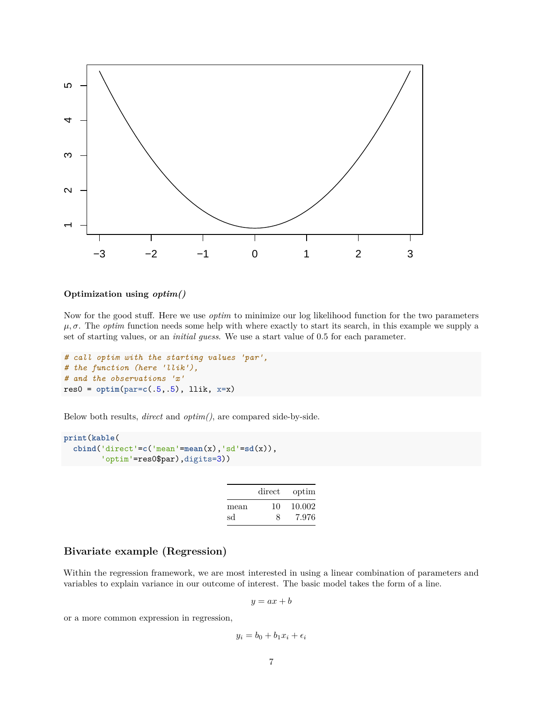

## **Optimization using** *optim()*

Now for the good stuff. Here we use *optim* to minimize our log likelihood function for the two parameters  $\mu$ ,  $\sigma$ . The *optim* function needs some help with where exactly to start its search, in this example we supply a set of starting values, or an *initial guess*. We use a start value of 0*.*5 for each parameter.

```
# call optim with the starting values 'par',
# the function (here 'llik'),
# and the observations 'x'
res0 = optim(par=c(.5,.5), llik, x=x)
```
Below both results, *direct* and *optim()*, are compared side-by-side.

```
print(kable(
  cbind('direct'=c('mean'=mean(x),'sd'=sd(x)),
        'optim'=res0$par),digits=3))
```

|      | direct | optim  |
|------|--------|--------|
| mean | 10     | 10.002 |
| sd   | Я      | 7.976  |

## **Bivariate example (Regression)**

Within the regression framework, we are most interested in using a linear combination of parameters and variables to explain variance in our outcome of interest. The basic model takes the form of a line.

$$
y = ax + b
$$

or a more common expression in regression,

$$
y_i = b_0 + b_1 x_i + \epsilon_i
$$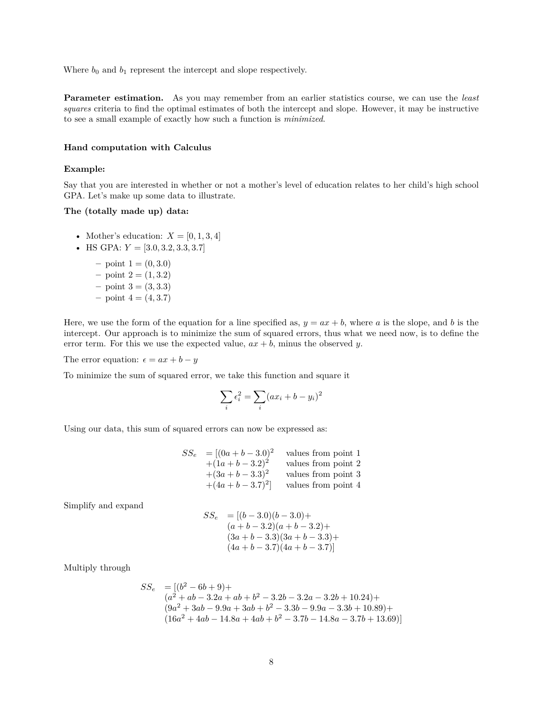Where  $b_0$  and  $b_1$  represent the intercept and slope respectively.

**Parameter estimation.** As you may remember from an earlier statistics course, we can use the *least squares* criteria to find the optimal estimates of both the intercept and slope. However, it may be instructive to see a small example of exactly how such a function is *minimized*.

#### **Hand computation with Calculus**

## **Example:**

Say that you are interested in whether or not a mother's level of education relates to her child's high school GPA. Let's make up some data to illustrate.

## **The (totally made up) data:**

- Mother's education:  $X = [0, 1, 3, 4]$
- HS GPA:  $Y = [3.0, 3.2, 3.3, 3.7]$ 
	- $-$  point  $1 = (0, 3.0)$
	- $-$  point  $2 = (1, 3.2)$
	- $-$  point  $3 = (3, 3.3)$
	- $-$  point  $4 = (4, 3.7)$

Here, we use the form of the equation for a line specified as,  $y = ax + b$ , where a is the slope, and b is the intercept. Our approach is to minimize the sum of squared errors, thus what we need now, is to define the error term. For this we use the expected value,  $ax + b$ , minus the observed *y*.

The error equation:  $\epsilon = ax + b - y$ 

To minimize the sum of squared error, we take this function and square it

$$
\sum_{i} \epsilon_i^2 = \sum_{i} (ax_i + b - y_i)^2
$$

Using our data, this sum of squared errors can now be expressed as:

$$
SS_e = [(0a + b - 3.0)^2 \text{ values from point 1}+(1a + b - 3.2)^2 \text{ values from point 2}+(3a + b - 3.3)^2 \text{ values from point 3}+(4a + b - 3.7)^2 \text{ values from point 4}
$$

Simplify and expand

$$
SS_e = [(b-3.0)(b-3.0) +(a+b-3.2)(a+b-3.2) +(3a+b-3.3)(3a+b-3.3) +(4a+b-3.7)(4a+b-3.7)]
$$

Multiply through

$$
SS_e = [(b^2 - 6b + 9) + (a^2 + ab - 3 \cdot 2a + ab + b^2 - 3 \cdot 2b - 3 \cdot 2a - 3 \cdot 2b + 10 \cdot 24) + (9a^2 + 3ab - 9 \cdot 9a + 3ab + b^2 - 3 \cdot 3b - 9 \cdot 9a - 3 \cdot 3b + 10 \cdot 89) + (16a^2 + 4ab - 14 \cdot 8a + 4ab + b^2 - 3 \cdot 7b - 14 \cdot 8a - 3 \cdot 7b + 13 \cdot 69)]
$$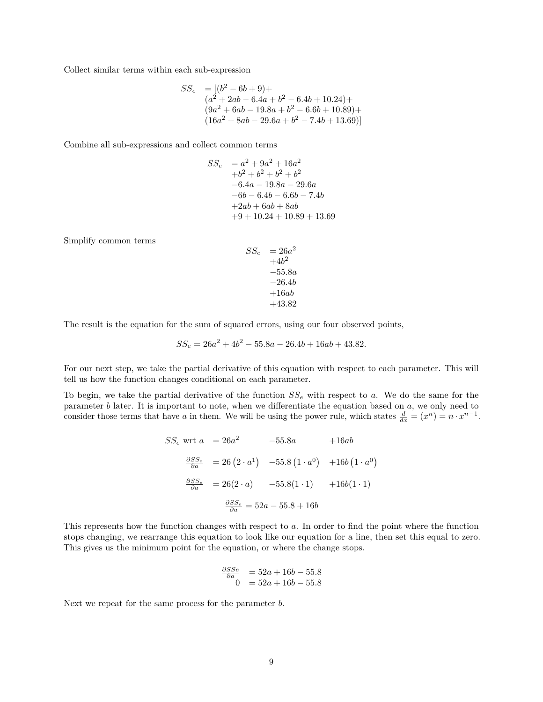Collect similar terms within each sub-expression

$$
SS_e = [(b^2 - 6b + 9) +(a^2 + 2ab - 6.4a + b^2 - 6.4b + 10.24) +(9a^2 + 6ab - 19.8a + b^2 - 6.6b + 10.89) +(16a^2 + 8ab - 29.6a + b^2 - 7.4b + 13.69)]
$$

Combine all sub-expressions and collect common terms

$$
SS_e = a^2 + 9a^2 + 16a^2
$$
  
+b<sup>2</sup> + b<sup>2</sup> + b<sup>2</sup> + b<sup>2</sup>  
-6.4a - 19.8a - 29.6a  
-6b - 6.4b - 6.6b - 7.4b  
+2ab + 6ab + 8ab  
+9 + 10.24 + 10.89 + 13.69

Simplify common terms

$$
S_e = 26a^2
$$
  
+4b<sup>2</sup>  
-55.8a  
-26.4b  
+16ab  
+43.82

The result is the equation for the sum of squared errors, using our four observed points,

*SS<sup>e</sup>* = 26*a*

$$
SS_e = 26a^2 + 4b^2 - 55.8a - 26.4b + 16ab + 43.82.
$$

For our next step, we take the partial derivative of this equation with respect to each parameter. This will tell us how the function changes conditional on each parameter.

To begin, we take the partial derivative of the function *SS<sup>e</sup>* with respect to *a*. We do the same for the parameter *b* later. It is important to note, when we differentiate the equation based on *a*, we only need to consider those terms that have *a* in them. We will be using the power rule, which states  $\frac{d}{dx} = (x^n) = n \cdot x^{n-1}$ .

$$
SS_e \text{ wrt } a = 26a^2 \qquad -55.8a \qquad +16ab
$$

$$
\frac{\partial SS_e}{\partial a} = 26(2 \cdot a^1) \quad -55.8(1 \cdot a^0) \quad +16b(1 \cdot a^0)
$$

$$
\frac{\partial SS_e}{\partial a} = 26(2 \cdot a) \qquad -55.8(1 \cdot 1) \qquad +16b(1 \cdot 1)
$$

$$
\frac{\partial SS_e}{\partial a} = 52a - 55.8 + 16b
$$

This represents how the function changes with respect to *a*. In order to find the point where the function stops changing, we rearrange this equation to look like our equation for a line, then set this equal to zero. This gives us the minimum point for the equation, or where the change stops.

$$
\frac{\frac{\partial SSE}{\partial a}}{0} = 52a + 16b - 55.8
$$
  
0 = 52a + 16b - 55.8

Next we repeat for the same process for the parameter *b*.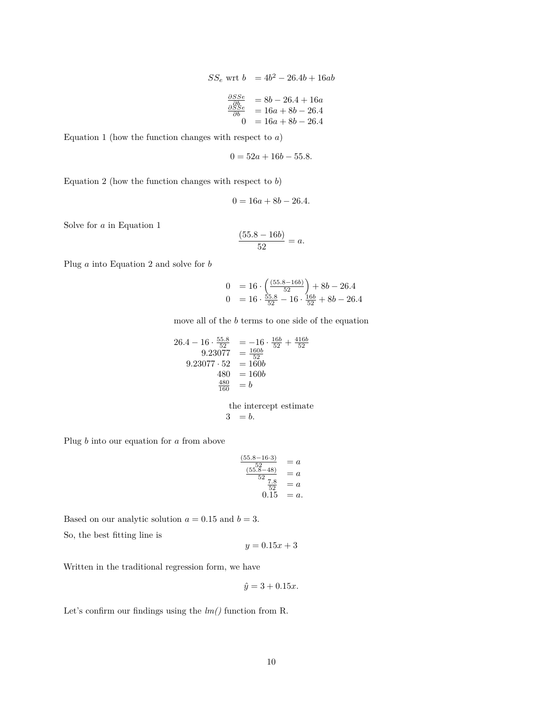$$
SS_e \text{ wrt } b = 4b^2 - 26.4b + 16ab
$$
  

$$
\frac{\frac{\partial SS_e}{\partial b}}{\frac{\partial SS_e}{\partial b}} = 8b - 26.4 + 16a
$$
  

$$
= 16a + 8b - 26.4
$$
  

$$
0 = 16a + 8b - 26.4
$$

Equation 1 (how the function changes with respect to *a*)

$$
0 = 52a + 16b - 55.8.
$$

Equation 2 (how the function changes with respect to *b*)

$$
0 = 16a + 8b - 26.4.
$$

Solve for *a* in Equation 1

$$
\frac{(55.8 - 16b)}{52} = a.
$$

Plug *a* into Equation 2 and solve for *b*

$$
0 = 16 \cdot \left(\frac{(55.8 - 16b)}{52}\right) + 8b - 26.4
$$
  

$$
0 = 16 \cdot \frac{55.8}{52} - 16 \cdot \frac{16b}{52} + 8b - 26.4
$$

move all of the *b* terms to one side of the equation

$$
26.4 - 16 \cdot \frac{55.8}{52} = -16 \cdot \frac{16b}{52} + \frac{416b}{52}
$$
  
\n
$$
9.23077 = \frac{160b}{52}
$$
  
\n
$$
9.23077 \cdot 52 = 160b
$$
  
\n
$$
480 = 160b
$$
  
\n
$$
\frac{480}{160} = b
$$

the intercept estimate  $3 = b.$ 

Plug *b* into our equation for *a* from above

$$
\frac{\frac{(55.8-16\cdot3)}{52}}{\frac{(55.8-48)}{52}} = a
$$
\n
$$
\frac{7.8}{52} = a
$$
\n
$$
0.15 = a
$$

Based on our analytic solution  $a = 0.15$  and  $b = 3$ .

So, the best fitting line is

$$
y = 0.15x + 3
$$

Written in the traditional regression form, we have

$$
\hat{y} = 3 + 0.15x.
$$

Let's confirm our findings using the *lm()* function from R.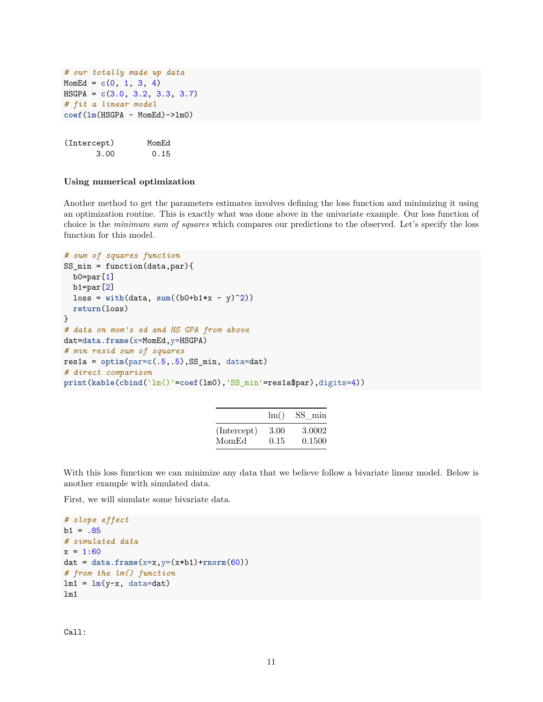```
# our totally made up data
MomEd = c(0, 1, 3, 4)HSGPA = c(3.0, 3.2, 3.3, 3.7)
# fit a linear model
coef(lm(HSGPA ~ MomEd)->lm0)
```

```
(Intercept) MomEd
    3.00 0.15
```
## **Using numerical optimization**

Another method to get the parameters estimates involves defining the loss function and minimizing it using an optimization routine. This is exactly what was done above in the univariate example. Our loss function of choice is the *minimum sum of squares* which compares our predictions to the observed. Let's specify the loss function for this model.

```
# sum of squares function
SS_min = function(data,par){
  b0=par[1]
  b1=par[2]
  loss = with(data, sum((b0+b1*x - y)^2))return(loss)
}
# data on mom's ed and HS GPA from above
dat=data.frame(x=MomEd,y=HSGPA)
# min resid sum of squares
res1a = optim(par=c(.5,.5), SS=min, data=dat)# direct comparison
print(kable(cbind('lm()'=coef(lm0),'SS_min'=res1a$par),digits=4))
```

|             | $\rm{lm}()$ | SS min |
|-------------|-------------|--------|
| (Intercept) | 3.00        | 3.0002 |
| MomEd       | 0.15        | 0.1500 |

With this loss function we can minimize any data that we believe follow a bivariate linear model. Below is another example with simulated data.

First, we will simulate some bivariate data.

```
# slope effect
b1 = .85# simulated data
x = 1:60dat = data.frame(x=x,y=(x*b1)+rnorm(60))
# from the lm() function
lm1 = lm(y-x, data=dat)lm1
```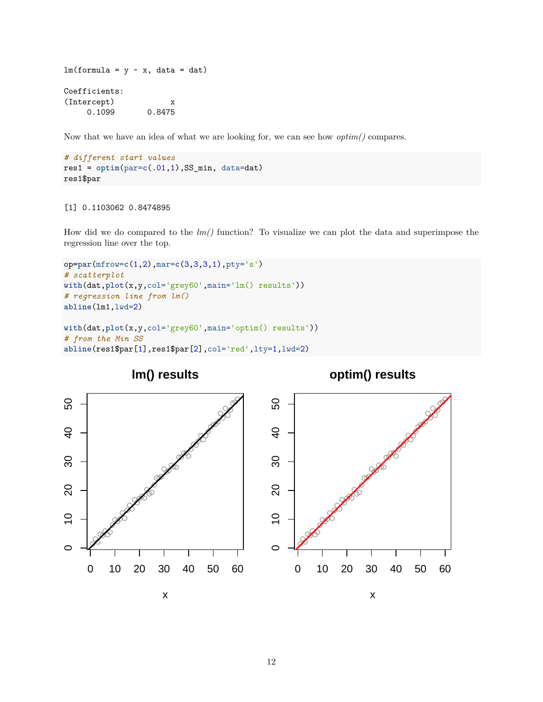```
lm(formula = y \sim x, data = dat)Coefficients:
(Intercept) x
    0.1099 0.8475
```
Now that we have an idea of what we are looking for, we can see how *optim()* compares.

```
# different start values
res1 = optim(par=c(.01,1),SS_min, data=dat)
res1$par
```
## [1] 0.1103062 0.8474895

How did we do compared to the *lm()* function? To visualize we can plot the data and superimpose the regression line over the top.

```
op=par(mfrow=c(1,2),mar=c(3,3,3,1),pty='s')
# scatterplot
with(dat,plot(x,y,col='grey60',main='lm() results'))
# regression line from lm()
abline(lm1,lwd=2)
with(dat,plot(x,y,col='grey60',main='optim() results'))
# from the Min SS
abline(res1$par[1],res1$par[2],col='red',lty=1,lwd=2)
```
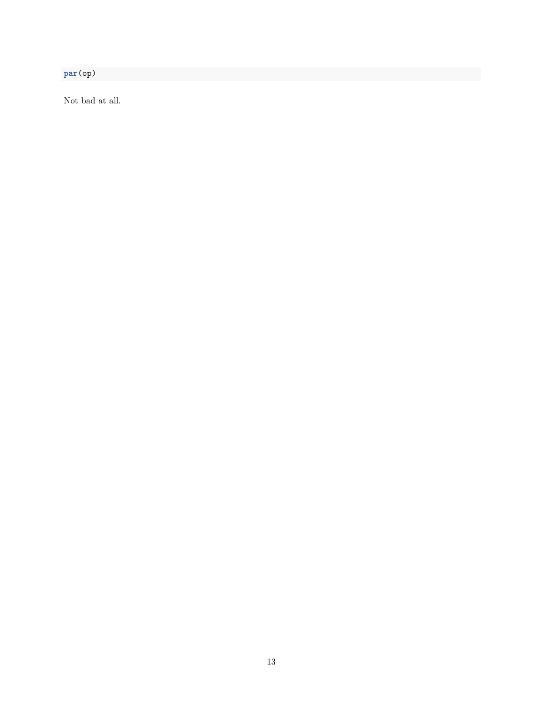**par**(op)

Not bad at all.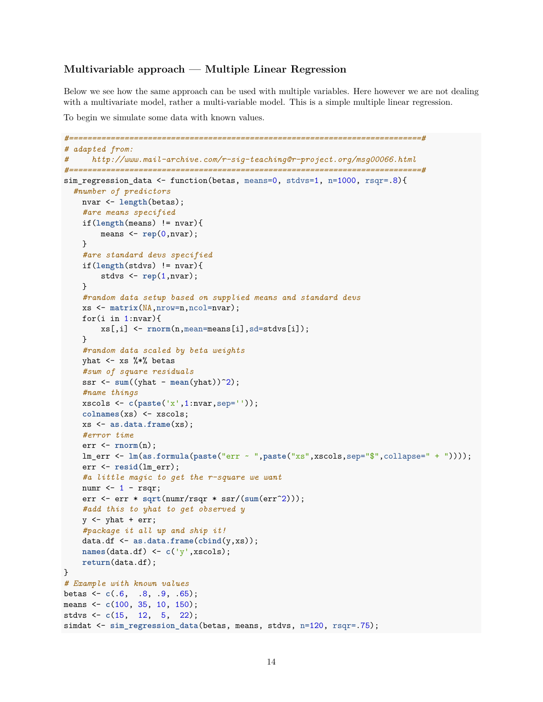## **Multivariable approach — Multiple Linear Regression**

Below we see how the same approach can be used with multiple variables. Here however we are not dealing with a multivariate model, rather a multi-variable model. This is a simple multiple linear regression.

To begin we simulate some data with known values.

```
#============================================================================#
# adapted from:
# http://www.mail-archive.com/r-sig-teaching@r-project.org/msg00066.html
#============================================================================#
sim_regression_data <- function(betas, means=0, stdvs=1, n=1000, rsqr=.8){
  #number of predictors
    nvar <- length(betas);
    #are means specified
    if(length(means) != nvar){
        means <- rep(0,nvar);
    }
    #are standard devs specified
    if(length(stdvs) != nvar){
        stdvs <- rep(1,nvar);
    }
    #random data setup based on supplied means and standard devs
    xs <- matrix(NA,nrow=n,ncol=nvar);
    for(i in 1:nvar){
        xs[,i] <- rnorm(n,mean=means[i],sd=stdvs[i]);
    }
    #random data scaled by beta weights
    yhat \leq - xs \frac{9}{8}*% betas
    #sum of square residuals
    ssr \leq sum((yhat - mean(yhat))<sup>2</sup>);
    #name things
    xscols <- c(paste('x',1:nvar,sep=''));
    colnames(xs) <- xscols;
    xs <- as.data.frame(xs);
    #error time
    err <- rnorm(n);
    lm_err <- lm(as.formula(paste("err ~ ",paste("xs",xscols,sep="$",collapse=" + "))));
    err <- resid(lm_err);
    #a little magic to get the r-square we want
    numr \leq -1 - rsqr;
    err <- err * sqrt(numr/rsqr * ssr/(sum(err^2)));
    #add this to yhat to get observed y
    y \leftarrow yhat + err;
    #package it all up and ship it!
    data.df <- as.data.frame(cbind(y,xs));
    names(data.df) <- c('y',xscols);
    return(data.df);
}
# Example with known values
betas <- c(.6, .8, .9, .65);
means <- c(100, 35, 10, 150);
stdvs <- c(15, 12, 5, 22);
simdat <- sim_regression_data(betas, means, stdvs, n=120, rsqr=.75);
```